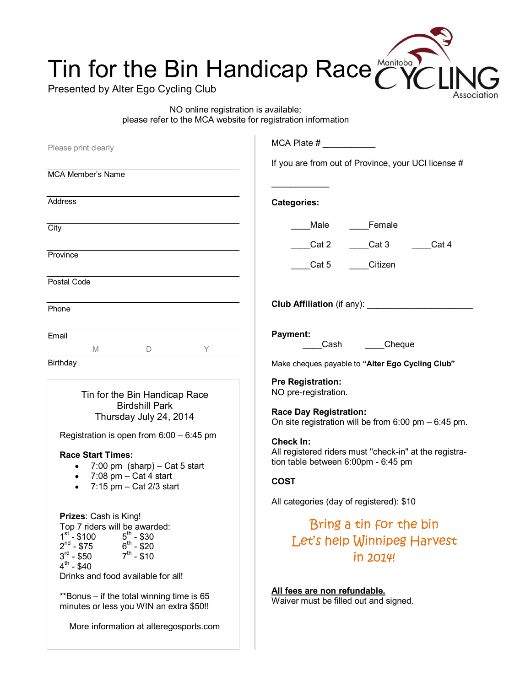## Tin for the Bin Handicap Race

Presented by Alter Ego Cycling Club

NO online registration is available; please refer to the MCA website for registration information ssociation

| MCA Plate $#$                                                                                                                                                                                                                                                             |
|---------------------------------------------------------------------------------------------------------------------------------------------------------------------------------------------------------------------------------------------------------------------------|
| If you are from out of Province, your UCI license #                                                                                                                                                                                                                       |
|                                                                                                                                                                                                                                                                           |
| <b>Categories:</b>                                                                                                                                                                                                                                                        |
| Female<br>Male                                                                                                                                                                                                                                                            |
| Cat 3<br>Cat 4<br>Cat 2                                                                                                                                                                                                                                                   |
| Citizen<br>Cat 5                                                                                                                                                                                                                                                          |
|                                                                                                                                                                                                                                                                           |
|                                                                                                                                                                                                                                                                           |
| Payment:<br>Cheque<br>Cash                                                                                                                                                                                                                                                |
| Make cheques payable to "Alter Ego Cycling Club"                                                                                                                                                                                                                          |
| <b>Pre Registration:</b><br>NO pre-registration.<br><b>Race Day Registration:</b><br>On site registration will be from $6:00$ pm $-6:45$ pm.<br>Check In:<br>All registered riders must "check-in" at the registra-<br>tion table between 6:00pm - 6:45 pm<br><b>COST</b> |
| All categories (day of registered): \$10<br>Bring a tin for the bin<br>Let's help Winnipeg Harvest<br>in 2014!<br>All fees are non refundable.<br>Waiver must be filled out and signed.                                                                                   |
|                                                                                                                                                                                                                                                                           |